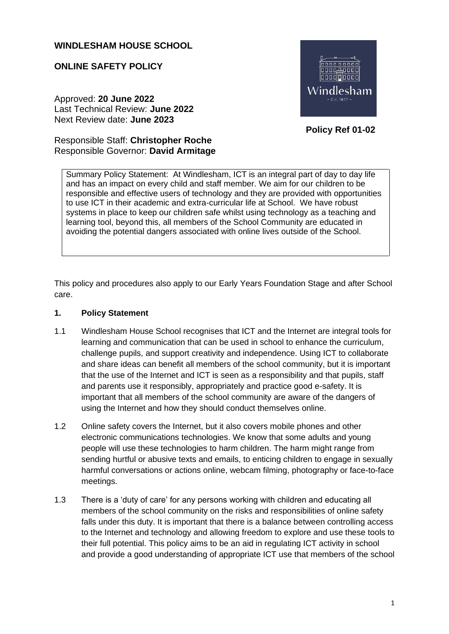## **WINDLESHAM HOUSE SCHOOL**

### **ONLINE SAFETY POLICY**

Approved: **20 June 2022** Last Technical Review: **June 2022** Next Review date: **June 2023**



 **Policy Ref 01-02**

# Responsible Staff: **Christopher Roche**  Responsible Governor: **David Armitage**

Summary Policy Statement: At Windlesham, ICT is an integral part of day to day life and has an impact on every child and staff member. We aim for our children to be responsible and effective users of technology and they are provided with opportunities to use ICT in their academic and extra-curricular life at School. We have robust systems in place to keep our children safe whilst using technology as a teaching and learning tool, beyond this, all members of the School Community are educated in avoiding the potential dangers associated with online lives outside of the School.

This policy and procedures also apply to our Early Years Foundation Stage and after School care.

### **1. Policy Statement**

- 1.1 Windlesham House School recognises that ICT and the Internet are integral tools for learning and communication that can be used in school to enhance the curriculum, challenge pupils, and support creativity and independence. Using ICT to collaborate and share ideas can benefit all members of the school community, but it is important that the use of the Internet and ICT is seen as a responsibility and that pupils, staff and parents use it responsibly, appropriately and practice good e-safety. It is important that all members of the school community are aware of the dangers of using the Internet and how they should conduct themselves online.
- 1.2 Online safety covers the Internet, but it also covers mobile phones and other electronic communications technologies. We know that some adults and young people will use these technologies to harm children. The harm might range from sending hurtful or abusive texts and emails, to enticing children to engage in sexually harmful conversations or actions online, webcam filming, photography or face-to-face meetings.
- 1.3 There is a 'duty of care' for any persons working with children and educating all members of the school community on the risks and responsibilities of online safety falls under this duty. It is important that there is a balance between controlling access to the Internet and technology and allowing freedom to explore and use these tools to their full potential. This policy aims to be an aid in regulating ICT activity in school and provide a good understanding of appropriate ICT use that members of the school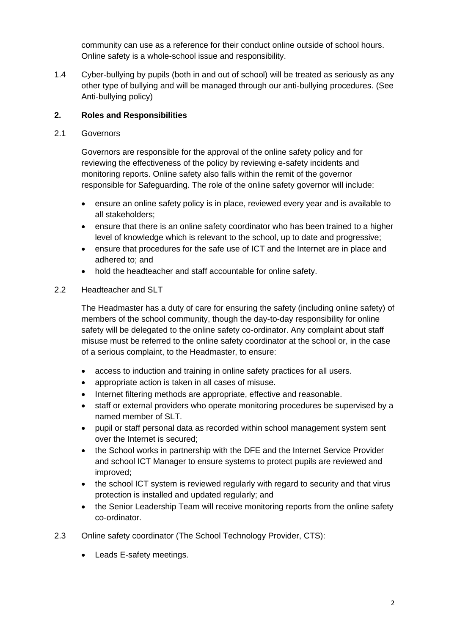community can use as a reference for their conduct online outside of school hours. Online safety is a whole-school issue and responsibility.

1.4 Cyber-bullying by pupils (both in and out of school) will be treated as seriously as any other type of bullying and will be managed through our anti-bullying procedures. (See Anti-bullying policy)

## **2. Roles and Responsibilities**

### 2.1 Governors

Governors are responsible for the approval of the online safety policy and for reviewing the effectiveness of the policy by reviewing e-safety incidents and monitoring reports. Online safety also falls within the remit of the governor responsible for Safeguarding. The role of the online safety governor will include:

- ensure an online safety policy is in place, reviewed every year and is available to all stakeholders;
- ensure that there is an online safety coordinator who has been trained to a higher level of knowledge which is relevant to the school, up to date and progressive;
- ensure that procedures for the safe use of ICT and the Internet are in place and adhered to; and
- hold the headteacher and staff accountable for online safety.

### 2.2 Headteacher and SLT

The Headmaster has a duty of care for ensuring the safety (including online safety) of members of the school community, though the day-to-day responsibility for online safety will be delegated to the online safety co-ordinator. Any complaint about staff misuse must be referred to the online safety coordinator at the school or, in the case of a serious complaint, to the Headmaster, to ensure:

- access to induction and training in online safety practices for all users.
- appropriate action is taken in all cases of misuse.
- Internet filtering methods are appropriate, effective and reasonable.
- staff or external providers who operate monitoring procedures be supervised by a named member of SLT.
- pupil or staff personal data as recorded within school management system sent over the Internet is secured;
- the School works in partnership with the DFE and the Internet Service Provider and school ICT Manager to ensure systems to protect pupils are reviewed and improved;
- the school ICT system is reviewed regularly with regard to security and that virus protection is installed and updated regularly; and
- the Senior Leadership Team will receive monitoring reports from the online safety co-ordinator.
- 2.3 Online safety coordinator (The School Technology Provider, CTS):
	- Leads E-safety meetings.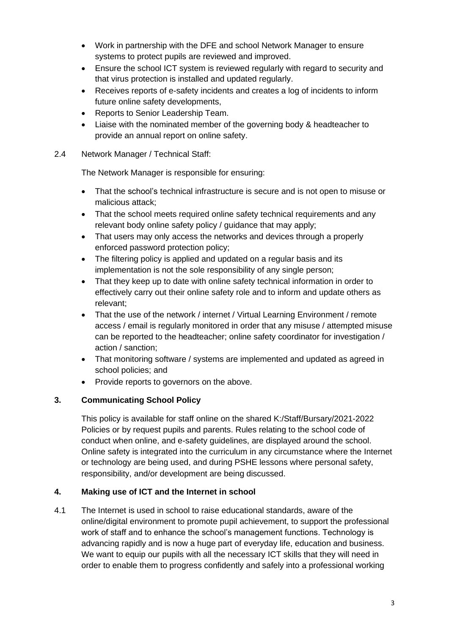- Work in partnership with the DFE and school Network Manager to ensure systems to protect pupils are reviewed and improved.
- Ensure the school ICT system is reviewed regularly with regard to security and that virus protection is installed and updated regularly.
- Receives reports of e-safety incidents and creates a log of incidents to inform future online safety developments,
- Reports to Senior Leadership Team.
- Liaise with the nominated member of the governing body & headteacher to provide an annual report on online safety.
- 2.4 Network Manager / Technical Staff:

The Network Manager is responsible for ensuring:

- That the school's technical infrastructure is secure and is not open to misuse or malicious attack;
- That the school meets required online safety technical requirements and any relevant body online safety policy / guidance that may apply;
- That users may only access the networks and devices through a properly enforced password protection policy;
- The filtering policy is applied and updated on a regular basis and its implementation is not the sole responsibility of any single person;
- That they keep up to date with online safety technical information in order to effectively carry out their online safety role and to inform and update others as relevant;
- That the use of the network / internet / Virtual Learning Environment / remote access / email is regularly monitored in order that any misuse / attempted misuse can be reported to the headteacher; online safety coordinator for investigation / action / sanction;
- That monitoring software / systems are implemented and updated as agreed in school policies; and
- Provide reports to governors on the above.

## **3. Communicating School Policy**

This policy is available for staff online on the shared K:/Staff/Bursary/2021-2022 Policies or by request pupils and parents. Rules relating to the school code of conduct when online, and e-safety guidelines, are displayed around the school. Online safety is integrated into the curriculum in any circumstance where the Internet or technology are being used, and during PSHE lessons where personal safety, responsibility, and/or development are being discussed.

## **4. Making use of ICT and the Internet in school**

4.1 The Internet is used in school to raise educational standards, aware of the online/digital environment to promote pupil achievement, to support the professional work of staff and to enhance the school's management functions. Technology is advancing rapidly and is now a huge part of everyday life, education and business. We want to equip our pupils with all the necessary ICT skills that they will need in order to enable them to progress confidently and safely into a professional working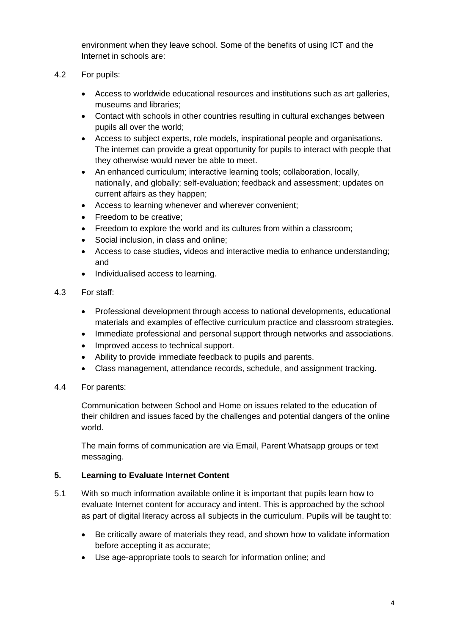environment when they leave school. Some of the benefits of using ICT and the Internet in schools are:

- 4.2 For pupils:
	- Access to worldwide educational resources and institutions such as art galleries, museums and libraries;
	- Contact with schools in other countries resulting in cultural exchanges between pupils all over the world;
	- Access to subject experts, role models, inspirational people and organisations. The internet can provide a great opportunity for pupils to interact with people that they otherwise would never be able to meet.
	- An enhanced curriculum; interactive learning tools; collaboration, locally, nationally, and globally; self-evaluation; feedback and assessment; updates on current affairs as they happen;
	- Access to learning whenever and wherever convenient;
	- Freedom to be creative;
	- Freedom to explore the world and its cultures from within a classroom;
	- Social inclusion, in class and online;
	- Access to case studies, videos and interactive media to enhance understanding; and
	- Individualised access to learning.
- 4.3 For staff:
	- Professional development through access to national developments, educational materials and examples of effective curriculum practice and classroom strategies.
	- Immediate professional and personal support through networks and associations.
	- Improved access to technical support.
	- Ability to provide immediate feedback to pupils and parents.
	- Class management, attendance records, schedule, and assignment tracking.
- 4.4 For parents:

Communication between School and Home on issues related to the education of their children and issues faced by the challenges and potential dangers of the online world.

The main forms of communication are via Email, Parent Whatsapp groups or text messaging.

### **5. Learning to Evaluate Internet Content**

- 5.1 With so much information available online it is important that pupils learn how to evaluate Internet content for accuracy and intent. This is approached by the school as part of digital literacy across all subjects in the curriculum. Pupils will be taught to:
	- Be critically aware of materials they read, and shown how to validate information before accepting it as accurate;
	- Use age-appropriate tools to search for information online; and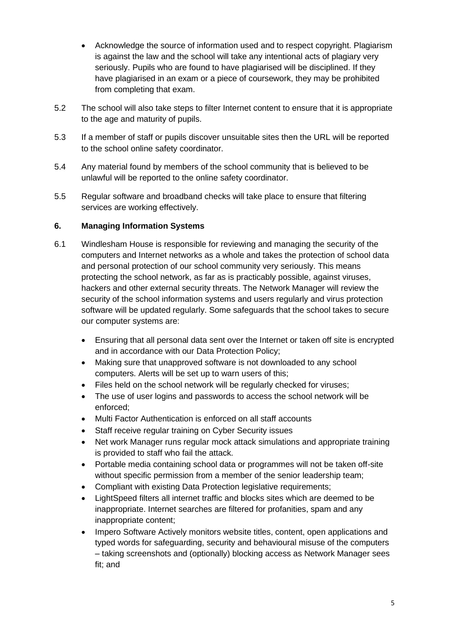- Acknowledge the source of information used and to respect copyright. Plagiarism is against the law and the school will take any intentional acts of plagiary very seriously. Pupils who are found to have plagiarised will be disciplined. If they have plagiarised in an exam or a piece of coursework, they may be prohibited from completing that exam.
- 5.2 The school will also take steps to filter Internet content to ensure that it is appropriate to the age and maturity of pupils.
- 5.3 If a member of staff or pupils discover unsuitable sites then the URL will be reported to the school online safety coordinator.
- 5.4 Any material found by members of the school community that is believed to be unlawful will be reported to the online safety coordinator.
- 5.5 Regular software and broadband checks will take place to ensure that filtering services are working effectively.

## **6. Managing Information Systems**

- 6.1 Windlesham House is responsible for reviewing and managing the security of the computers and Internet networks as a whole and takes the protection of school data and personal protection of our school community very seriously. This means protecting the school network, as far as is practicably possible, against viruses, hackers and other external security threats. The Network Manager will review the security of the school information systems and users regularly and virus protection software will be updated regularly. Some safeguards that the school takes to secure our computer systems are:
	- Ensuring that all personal data sent over the Internet or taken off site is encrypted and in accordance with our Data Protection Policy;
	- Making sure that unapproved software is not downloaded to any school computers. Alerts will be set up to warn users of this;
	- Files held on the school network will be regularly checked for viruses;
	- The use of user logins and passwords to access the school network will be enforced;
	- Multi Factor Authentication is enforced on all staff accounts
	- Staff receive regular training on Cyber Security issues
	- Net work Manager runs regular mock attack simulations and appropriate training is provided to staff who fail the attack.
	- Portable media containing school data or programmes will not be taken off-site without specific permission from a member of the senior leadership team;
	- Compliant with existing Data Protection legislative requirements;
	- LightSpeed filters all internet traffic and blocks sites which are deemed to be inappropriate. Internet searches are filtered for profanities, spam and any inappropriate content;
	- Impero Software Actively monitors website titles, content, open applications and typed words for safeguarding, security and behavioural misuse of the computers – taking screenshots and (optionally) blocking access as Network Manager sees fit; and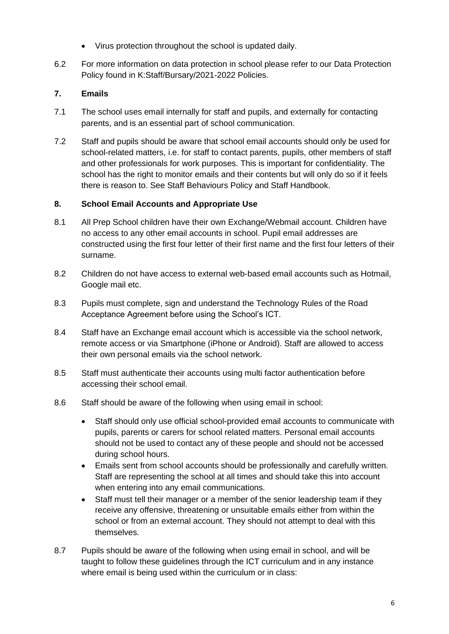- Virus protection throughout the school is updated daily.
- 6.2 For more information on data protection in school please refer to our Data Protection Policy found in K:Staff/Bursary/2021-2022 Policies.

## **7. Emails**

- 7.1 The school uses email internally for staff and pupils, and externally for contacting parents, and is an essential part of school communication.
- 7.2 Staff and pupils should be aware that school email accounts should only be used for school-related matters, i.e. for staff to contact parents, pupils, other members of staff and other professionals for work purposes. This is important for confidentiality. The school has the right to monitor emails and their contents but will only do so if it feels there is reason to. See Staff Behaviours Policy and Staff Handbook.

### **8. School Email Accounts and Appropriate Use**

- 8.1 All Prep School children have their own Exchange/Webmail account. Children have no access to any other email accounts in school. Pupil email addresses are constructed using the first four letter of their first name and the first four letters of their surname.
- 8.2 Children do not have access to external web-based email accounts such as Hotmail, Google mail etc.
- 8.3 Pupils must complete, sign and understand the Technology Rules of the Road Acceptance Agreement before using the School's ICT.
- 8.4 Staff have an Exchange email account which is accessible via the school network, remote access or via Smartphone (iPhone or Android). Staff are allowed to access their own personal emails via the school network.
- 8.5 Staff must authenticate their accounts using multi factor authentication before accessing their school email.
- 8.6 Staff should be aware of the following when using email in school:
	- Staff should only use official school-provided email accounts to communicate with pupils, parents or carers for school related matters. Personal email accounts should not be used to contact any of these people and should not be accessed during school hours.
	- Emails sent from school accounts should be professionally and carefully written. Staff are representing the school at all times and should take this into account when entering into any email communications.
	- Staff must tell their manager or a member of the senior leadership team if they receive any offensive, threatening or unsuitable emails either from within the school or from an external account. They should not attempt to deal with this themselves.
- 8.7 Pupils should be aware of the following when using email in school, and will be taught to follow these guidelines through the ICT curriculum and in any instance where email is being used within the curriculum or in class: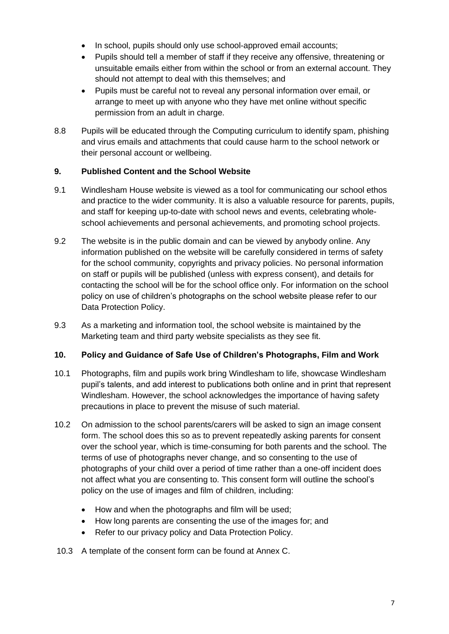- In school, pupils should only use school-approved email accounts;
- Pupils should tell a member of staff if they receive any offensive, threatening or unsuitable emails either from within the school or from an external account. They should not attempt to deal with this themselves; and
- Pupils must be careful not to reveal any personal information over email, or arrange to meet up with anyone who they have met online without specific permission from an adult in charge.
- 8.8 Pupils will be educated through the Computing curriculum to identify spam, phishing and virus emails and attachments that could cause harm to the school network or their personal account or wellbeing.

### **9. Published Content and the School Website**

- 9.1 Windlesham House website is viewed as a tool for communicating our school ethos and practice to the wider community. It is also a valuable resource for parents, pupils, and staff for keeping up-to-date with school news and events, celebrating wholeschool achievements and personal achievements, and promoting school projects.
- 9.2 The website is in the public domain and can be viewed by anybody online. Any information published on the website will be carefully considered in terms of safety for the school community, copyrights and privacy policies. No personal information on staff or pupils will be published (unless with express consent), and details for contacting the school will be for the school office only. For information on the school policy on use of children's photographs on the school website please refer to our Data Protection Policy.
- 9.3 As a marketing and information tool, the school website is maintained by the Marketing team and third party website specialists as they see fit.

### **10. Policy and Guidance of Safe Use of Children's Photographs, Film and Work**

- 10.1 Photographs, film and pupils work bring Windlesham to life, showcase Windlesham pupil's talents, and add interest to publications both online and in print that represent Windlesham. However, the school acknowledges the importance of having safety precautions in place to prevent the misuse of such material.
- 10.2 On admission to the school parents/carers will be asked to sign an image consent form. The school does this so as to prevent repeatedly asking parents for consent over the school year, which is time-consuming for both parents and the school. The terms of use of photographs never change, and so consenting to the use of photographs of your child over a period of time rather than a one-off incident does not affect what you are consenting to. This consent form will outline the school's policy on the use of images and film of children, including:
	- How and when the photographs and film will be used;
	- How long parents are consenting the use of the images for; and
	- Refer to our privacy policy and Data Protection Policy.
- 10.3 A template of the consent form can be found at Annex C.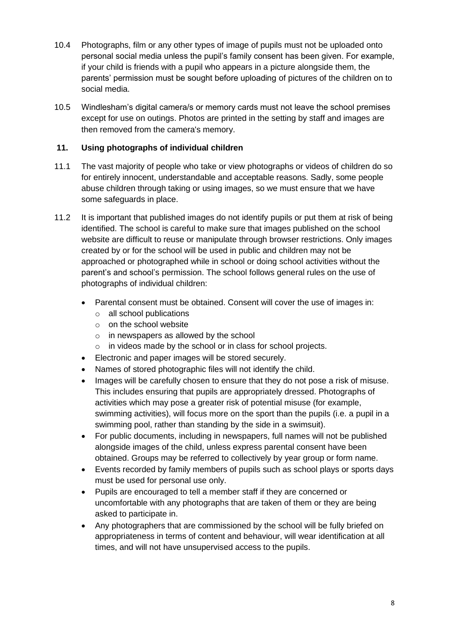- 10.4 Photographs, film or any other types of image of pupils must not be uploaded onto personal social media unless the pupil's family consent has been given. For example, if your child is friends with a pupil who appears in a picture alongside them, the parents' permission must be sought before uploading of pictures of the children on to social media.
- 10.5 Windlesham's digital camera/s or memory cards must not leave the school premises except for use on outings. Photos are printed in the setting by staff and images are then removed from the camera's memory.

## **11. Using photographs of individual children**

- 11.1 The vast majority of people who take or view photographs or videos of children do so for entirely innocent, understandable and acceptable reasons. Sadly, some people abuse children through taking or using images, so we must ensure that we have some safeguards in place.
- 11.2 It is important that published images do not identify pupils or put them at risk of being identified. The school is careful to make sure that images published on the school website are difficult to reuse or manipulate through browser restrictions. Only images created by or for the school will be used in public and children may not be approached or photographed while in school or doing school activities without the parent's and school's permission. The school follows general rules on the use of photographs of individual children:
	- Parental consent must be obtained. Consent will cover the use of images in:
		- o all school publications
		- o on the school website
		- o in newspapers as allowed by the school
		- in videos made by the school or in class for school projects.
	- Electronic and paper images will be stored securely.
	- Names of stored photographic files will not identify the child.
	- Images will be carefully chosen to ensure that they do not pose a risk of misuse. This includes ensuring that pupils are appropriately dressed. Photographs of activities which may pose a greater risk of potential misuse (for example, swimming activities), will focus more on the sport than the pupils (i.e. a pupil in a swimming pool, rather than standing by the side in a swimsuit).
	- For public documents, including in newspapers, full names will not be published alongside images of the child, unless express parental consent have been obtained. Groups may be referred to collectively by year group or form name.
	- Events recorded by family members of pupils such as school plays or sports days must be used for personal use only.
	- Pupils are encouraged to tell a member staff if they are concerned or uncomfortable with any photographs that are taken of them or they are being asked to participate in.
	- Any photographers that are commissioned by the school will be fully briefed on appropriateness in terms of content and behaviour, will wear identification at all times, and will not have unsupervised access to the pupils.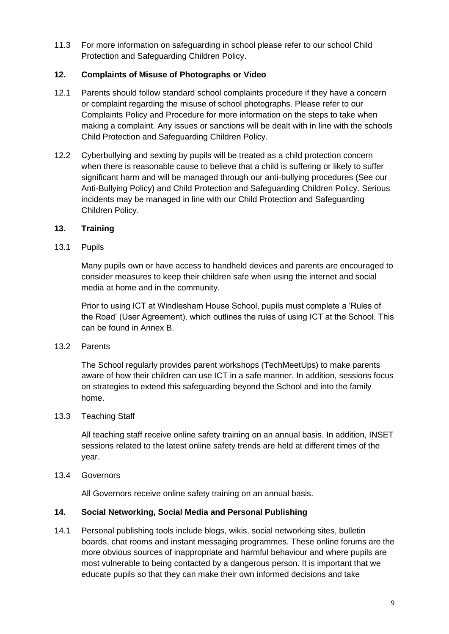11.3 For more information on safeguarding in school please refer to our school Child Protection and Safeguarding Children Policy.

## **12. Complaints of Misuse of Photographs or Video**

- 12.1 Parents should follow standard school complaints procedure if they have a concern or complaint regarding the misuse of school photographs. Please refer to our Complaints Policy and Procedure for more information on the steps to take when making a complaint. Any issues or sanctions will be dealt with in line with the schools Child Protection and Safeguarding Children Policy.
- 12.2 Cyberbullying and sexting by pupils will be treated as a child protection concern when there is reasonable cause to believe that a child is suffering or likely to suffer significant harm and will be managed through our anti-bullying procedures (See our Anti-Bullying Policy) and Child Protection and Safeguarding Children Policy. Serious incidents may be managed in line with our Child Protection and Safeguarding Children Policy.

## **13. Training**

13.1 Pupils

Many pupils own or have access to handheld devices and parents are encouraged to consider measures to keep their children safe when using the internet and social media at home and in the community.

Prior to using ICT at Windlesham House School, pupils must complete a 'Rules of the Road' (User Agreement), which outlines the rules of using ICT at the School. This can be found in Annex B.

13.2 Parents

The School regularly provides parent workshops (TechMeetUps) to make parents aware of how their children can use ICT in a safe manner. In addition, sessions focus on strategies to extend this safeguarding beyond the School and into the family home.

13.3 Teaching Staff

All teaching staff receive online safety training on an annual basis. In addition, INSET sessions related to the latest online safety trends are held at different times of the year.

13.4 Governors

All Governors receive online safety training on an annual basis.

## **14. Social Networking, Social Media and Personal Publishing**

14.1 Personal publishing tools include blogs, wikis, social networking sites, bulletin boards, chat rooms and instant messaging programmes. These online forums are the more obvious sources of inappropriate and harmful behaviour and where pupils are most vulnerable to being contacted by a dangerous person. It is important that we educate pupils so that they can make their own informed decisions and take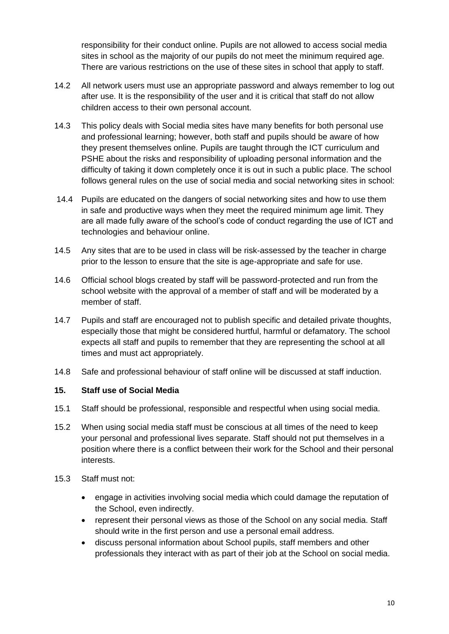responsibility for their conduct online. Pupils are not allowed to access social media sites in school as the majority of our pupils do not meet the minimum required age. There are various restrictions on the use of these sites in school that apply to staff.

- 14.2 All network users must use an appropriate password and always remember to log out after use. It is the responsibility of the user and it is critical that staff do not allow children access to their own personal account.
- 14.3 This policy deals with Social media sites have many benefits for both personal use and professional learning; however, both staff and pupils should be aware of how they present themselves online. Pupils are taught through the ICT curriculum and PSHE about the risks and responsibility of uploading personal information and the difficulty of taking it down completely once it is out in such a public place. The school follows general rules on the use of social media and social networking sites in school:
- 14.4 Pupils are educated on the dangers of social networking sites and how to use them in safe and productive ways when they meet the required minimum age limit. They are all made fully aware of the school's code of conduct regarding the use of ICT and technologies and behaviour online.
- 14.5 Any sites that are to be used in class will be risk-assessed by the teacher in charge prior to the lesson to ensure that the site is age-appropriate and safe for use.
- 14.6 Official school blogs created by staff will be password-protected and run from the school website with the approval of a member of staff and will be moderated by a member of staff.
- 14.7 Pupils and staff are encouraged not to publish specific and detailed private thoughts, especially those that might be considered hurtful, harmful or defamatory. The school expects all staff and pupils to remember that they are representing the school at all times and must act appropriately.
- 14.8 Safe and professional behaviour of staff online will be discussed at staff induction.

## **15. Staff use of Social Media**

- 15.1 Staff should be professional, responsible and respectful when using social media.
- 15.2 When using social media staff must be conscious at all times of the need to keep your personal and professional lives separate. Staff should not put themselves in a position where there is a conflict between their work for the School and their personal interests.
- 15.3 Staff must not:
	- engage in activities involving social media which could damage the reputation of the School, even indirectly.
	- represent their personal views as those of the School on any social media. Staff should write in the first person and use a personal email address.
	- discuss personal information about School pupils, staff members and other professionals they interact with as part of their job at the School on social media.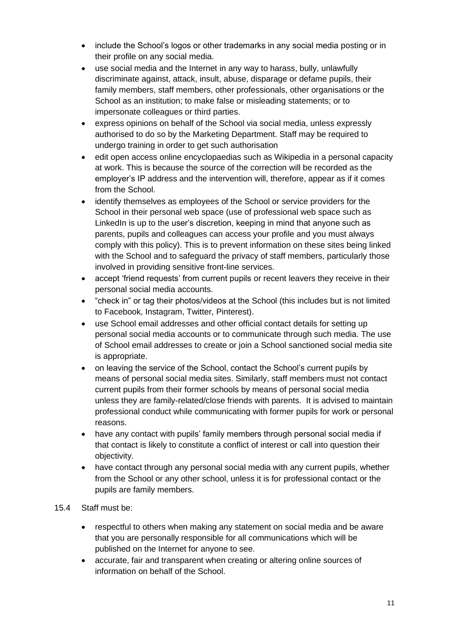- include the School's logos or other trademarks in any social media posting or in their profile on any social media.
- use social media and the Internet in any way to harass, bully, unlawfully discriminate against, attack, insult, abuse, disparage or defame pupils, their family members, staff members, other professionals, other organisations or the School as an institution; to make false or misleading statements; or to impersonate colleagues or third parties.
- express opinions on behalf of the School via social media, unless expressly authorised to do so by the Marketing Department. Staff may be required to undergo training in order to get such authorisation
- edit open access online encyclopaedias such as Wikipedia in a personal capacity at work. This is because the source of the correction will be recorded as the employer's IP address and the intervention will, therefore, appear as if it comes from the School.
- identify themselves as employees of the School or service providers for the School in their personal web space (use of professional web space such as LinkedIn is up to the user's discretion, keeping in mind that anyone such as parents, pupils and colleagues can access your profile and you must always comply with this policy). This is to prevent information on these sites being linked with the School and to safeguard the privacy of staff members, particularly those involved in providing sensitive front-line services.
- accept 'friend requests' from current pupils or recent leavers they receive in their personal social media accounts.
- "check in" or tag their photos/videos at the School (this includes but is not limited to Facebook, Instagram, Twitter, Pinterest).
- use School email addresses and other official contact details for setting up personal social media accounts or to communicate through such media. The use of School email addresses to create or join a School sanctioned social media site is appropriate.
- on leaving the service of the School, contact the School's current pupils by means of personal social media sites. Similarly, staff members must not contact current pupils from their former schools by means of personal social media unless they are family-related/close friends with parents. It is advised to maintain professional conduct while communicating with former pupils for work or personal reasons.
- have any contact with pupils' family members through personal social media if that contact is likely to constitute a conflict of interest or call into question their objectivity.
- have contact through any personal social media with any current pupils, whether from the School or any other school, unless it is for professional contact or the pupils are family members.
- 15.4 Staff must be:
	- respectful to others when making any statement on social media and be aware that you are personally responsible for all communications which will be published on the Internet for anyone to see.
	- accurate, fair and transparent when creating or altering online sources of information on behalf of the School.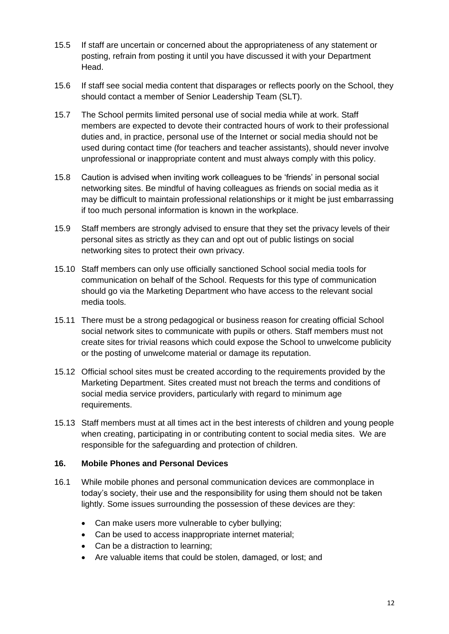- 15.5 If staff are uncertain or concerned about the appropriateness of any statement or posting, refrain from posting it until you have discussed it with your Department Head.
- 15.6 If staff see social media content that disparages or reflects poorly on the School, they should contact a member of Senior Leadership Team (SLT).
- 15.7 The School permits limited personal use of social media while at work. Staff members are expected to devote their contracted hours of work to their professional duties and, in practice, personal use of the Internet or social media should not be used during contact time (for teachers and teacher assistants), should never involve unprofessional or inappropriate content and must always comply with this policy.
- 15.8 Caution is advised when inviting work colleagues to be 'friends' in personal social networking sites. Be mindful of having colleagues as friends on social media as it may be difficult to maintain professional relationships or it might be just embarrassing if too much personal information is known in the workplace.
- 15.9 Staff members are strongly advised to ensure that they set the privacy levels of their personal sites as strictly as they can and opt out of public listings on social networking sites to protect their own privacy.
- 15.10 Staff members can only use officially sanctioned School social media tools for communication on behalf of the School. Requests for this type of communication should go via the Marketing Department who have access to the relevant social media tools.
- 15.11 There must be a strong pedagogical or business reason for creating official School social network sites to communicate with pupils or others. Staff members must not create sites for trivial reasons which could expose the School to unwelcome publicity or the posting of unwelcome material or damage its reputation.
- 15.12 Official school sites must be created according to the requirements provided by the Marketing Department. Sites created must not breach the terms and conditions of social media service providers, particularly with regard to minimum age requirements.
- 15.13 Staff members must at all times act in the best interests of children and young people when creating, participating in or contributing content to social media sites. We are responsible for the safeguarding and protection of children.

### **16. Mobile Phones and Personal Devices**

- 16.1 While mobile phones and personal communication devices are commonplace in today's society, their use and the responsibility for using them should not be taken lightly. Some issues surrounding the possession of these devices are they:
	- Can make users more vulnerable to cyber bullying;
	- Can be used to access inappropriate internet material;
	- Can be a distraction to learning;
	- Are valuable items that could be stolen, damaged, or lost; and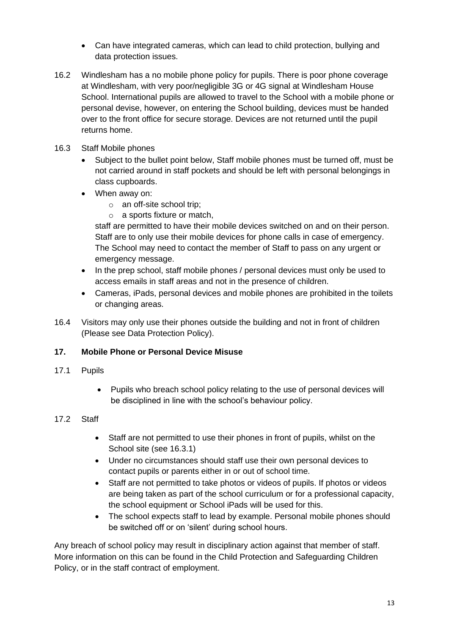- Can have integrated cameras, which can lead to child protection, bullying and data protection issues.
- 16.2 Windlesham has a no mobile phone policy for pupils. There is poor phone coverage at Windlesham, with very poor/negligible 3G or 4G signal at Windlesham House School. International pupils are allowed to travel to the School with a mobile phone or personal devise, however, on entering the School building, devices must be handed over to the front office for secure storage. Devices are not returned until the pupil returns home.
- 16.3 Staff Mobile phones
	- Subject to the bullet point below, Staff mobile phones must be turned off, must be not carried around in staff pockets and should be left with personal belongings in class cupboards.
	- When away on:
		- o an off-site school trip;
		- o a sports fixture or match,

staff are permitted to have their mobile devices switched on and on their person. Staff are to only use their mobile devices for phone calls in case of emergency. The School may need to contact the member of Staff to pass on any urgent or emergency message.

- In the prep school, staff mobile phones / personal devices must only be used to access emails in staff areas and not in the presence of children.
- Cameras, iPads, personal devices and mobile phones are prohibited in the toilets or changing areas.
- 16.4 Visitors may only use their phones outside the building and not in front of children (Please see Data Protection Policy).

## **17. Mobile Phone or Personal Device Misuse**

- 17.1 Pupils
	- Pupils who breach school policy relating to the use of personal devices will be disciplined in line with the school's behaviour policy.

## 17.2 Staff

- Staff are not permitted to use their phones in front of pupils, whilst on the School site (see 16.3.1)
- Under no circumstances should staff use their own personal devices to contact pupils or parents either in or out of school time.
- Staff are not permitted to take photos or videos of pupils. If photos or videos are being taken as part of the school curriculum or for a professional capacity, the school equipment or School iPads will be used for this.
- The school expects staff to lead by example. Personal mobile phones should be switched off or on 'silent' during school hours.

Any breach of school policy may result in disciplinary action against that member of staff. More information on this can be found in the Child Protection and Safeguarding Children Policy, or in the staff contract of employment.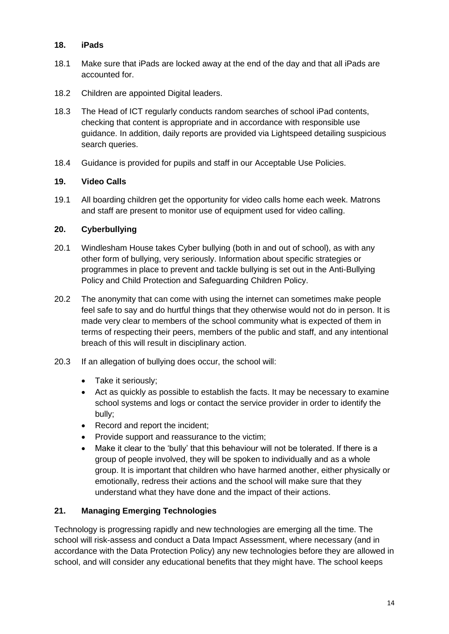## **18. iPads**

- 18.1 Make sure that iPads are locked away at the end of the day and that all iPads are accounted for.
- 18.2 Children are appointed Digital leaders.
- 18.3 The Head of ICT regularly conducts random searches of school iPad contents, checking that content is appropriate and in accordance with responsible use guidance. In addition, daily reports are provided via Lightspeed detailing suspicious search queries.
- 18.4 Guidance is provided for pupils and staff in our Acceptable Use Policies.

## **19. Video Calls**

19.1 All boarding children get the opportunity for video calls home each week. Matrons and staff are present to monitor use of equipment used for video calling.

## **20. Cyberbullying**

- 20.1 Windlesham House takes Cyber bullying (both in and out of school), as with any other form of bullying, very seriously. Information about specific strategies or programmes in place to prevent and tackle bullying is set out in the Anti-Bullying Policy and Child Protection and Safeguarding Children Policy.
- 20.2 The anonymity that can come with using the internet can sometimes make people feel safe to say and do hurtful things that they otherwise would not do in person. It is made very clear to members of the school community what is expected of them in terms of respecting their peers, members of the public and staff, and any intentional breach of this will result in disciplinary action.
- 20.3 If an allegation of bullying does occur, the school will:
	- Take it seriously;
	- Act as quickly as possible to establish the facts. It may be necessary to examine school systems and logs or contact the service provider in order to identify the bully;
	- Record and report the incident;
	- Provide support and reassurance to the victim;
	- Make it clear to the 'bully' that this behaviour will not be tolerated. If there is a group of people involved, they will be spoken to individually and as a whole group. It is important that children who have harmed another, either physically or emotionally, redress their actions and the school will make sure that they understand what they have done and the impact of their actions.

# **21. Managing Emerging Technologies**

Technology is progressing rapidly and new technologies are emerging all the time. The school will risk-assess and conduct a Data Impact Assessment, where necessary (and in accordance with the Data Protection Policy) any new technologies before they are allowed in school, and will consider any educational benefits that they might have. The school keeps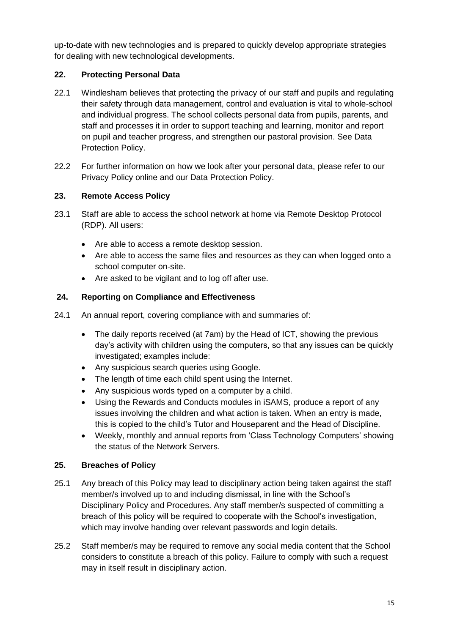up-to-date with new technologies and is prepared to quickly develop appropriate strategies for dealing with new technological developments.

# **22. Protecting Personal Data**

- 22.1 Windlesham believes that protecting the privacy of our staff and pupils and regulating their safety through data management, control and evaluation is vital to whole-school and individual progress. The school collects personal data from pupils, parents, and staff and processes it in order to support teaching and learning, monitor and report on pupil and teacher progress, and strengthen our pastoral provision. See Data Protection Policy.
- 22.2 For further information on how we look after your personal data, please refer to our Privacy Policy online and our Data Protection Policy.

## **23. Remote Access Policy**

- 23.1 Staff are able to access the school network at home via Remote Desktop Protocol (RDP). All users:
	- Are able to access a remote desktop session.
	- Are able to access the same files and resources as they can when logged onto a school computer on-site.
	- Are asked to be vigilant and to log off after use.

## **24. Reporting on Compliance and Effectiveness**

- 24.1 An annual report, covering compliance with and summaries of:
	- The daily reports received (at 7am) by the Head of ICT, showing the previous day's activity with children using the computers, so that any issues can be quickly investigated; examples include:
	- Any suspicious search queries using Google.
	- The length of time each child spent using the Internet.
	- Any suspicious words typed on a computer by a child.
	- Using the Rewards and Conducts modules in iSAMS, produce a report of any issues involving the children and what action is taken. When an entry is made, this is copied to the child's Tutor and Houseparent and the Head of Discipline.
	- Weekly, monthly and annual reports from 'Class Technology Computers' showing the status of the Network Servers.

# **25. Breaches of Policy**

- 25.1 Any breach of this Policy may lead to disciplinary action being taken against the staff member/s involved up to and including dismissal, in line with the School's Disciplinary Policy and Procedures. Any staff member/s suspected of committing a breach of this policy will be required to cooperate with the School's investigation, which may involve handing over relevant passwords and login details.
- 25.2 Staff member/s may be required to remove any social media content that the School considers to constitute a breach of this policy. Failure to comply with such a request may in itself result in disciplinary action.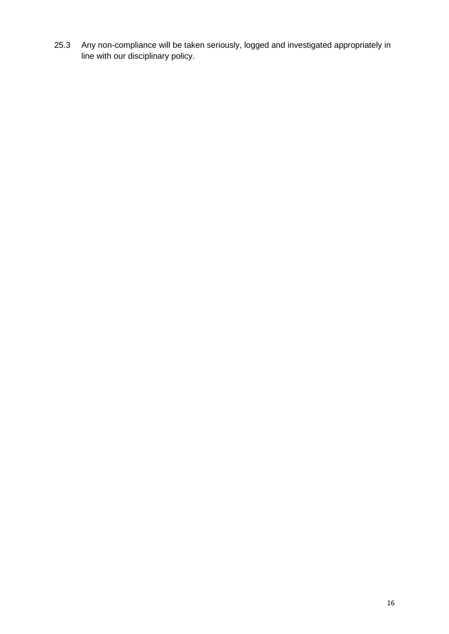25.3 Any non-compliance will be taken seriously, logged and investigated appropriately in line with our disciplinary policy.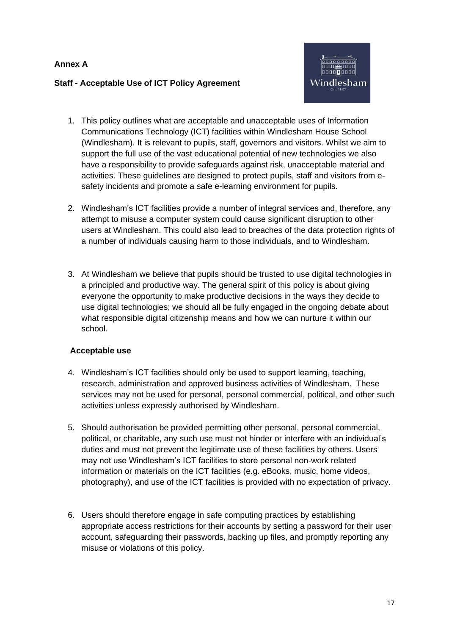### **Annex A**

### **Staff - Acceptable Use of ICT Policy Agreement**



- 1. This policy outlines what are acceptable and unacceptable uses of Information Communications Technology (ICT) facilities within Windlesham House School (Windlesham). It is relevant to pupils, staff, governors and visitors. Whilst we aim to support the full use of the vast educational potential of new technologies we also have a responsibility to provide safeguards against risk, unacceptable material and activities. These guidelines are designed to protect pupils, staff and visitors from esafety incidents and promote a safe e-learning environment for pupils.
- 2. Windlesham's ICT facilities provide a number of integral services and, therefore, any attempt to misuse a computer system could cause significant disruption to other users at Windlesham. This could also lead to breaches of the data protection rights of a number of individuals causing harm to those individuals, and to Windlesham.
- 3. At Windlesham we believe that pupils should be trusted to use digital technologies in a principled and productive way. The general spirit of this policy is about giving everyone the opportunity to make productive decisions in the ways they decide to use digital technologies; we should all be fully engaged in the ongoing debate about what responsible digital citizenship means and how we can nurture it within our school.

### **Acceptable use**

- 4. Windlesham's ICT facilities should only be used to support learning, teaching, research, administration and approved business activities of Windlesham. These services may not be used for personal, personal commercial, political, and other such activities unless expressly authorised by Windlesham.
- 5. Should authorisation be provided permitting other personal, personal commercial, political, or charitable, any such use must not hinder or interfere with an individual's duties and must not prevent the legitimate use of these facilities by others. Users may not use Windlesham's ICT facilities to store personal non-work related information or materials on the ICT facilities (e.g. eBooks, music, home videos, photography), and use of the ICT facilities is provided with no expectation of privacy.
- 6. Users should therefore engage in safe computing practices by establishing appropriate access restrictions for their accounts by setting a password for their user account, safeguarding their passwords, backing up files, and promptly reporting any misuse or violations of this policy.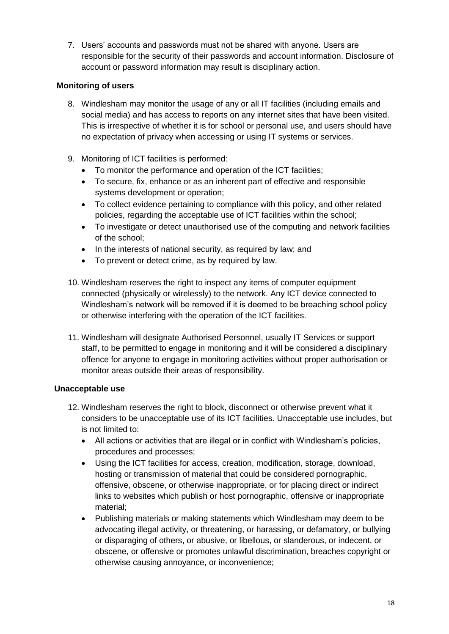7. Users' accounts and passwords must not be shared with anyone. Users are responsible for the security of their passwords and account information. Disclosure of account or password information may result is disciplinary action.

## **Monitoring of users**

- 8. Windlesham may monitor the usage of any or all IT facilities (including emails and social media) and has access to reports on any internet sites that have been visited. This is irrespective of whether it is for school or personal use, and users should have no expectation of privacy when accessing or using IT systems or services.
- 9. Monitoring of ICT facilities is performed:
	- To monitor the performance and operation of the ICT facilities;
	- To secure, fix, enhance or as an inherent part of effective and responsible systems development or operation;
	- To collect evidence pertaining to compliance with this policy, and other related policies, regarding the acceptable use of ICT facilities within the school;
	- To investigate or detect unauthorised use of the computing and network facilities of the school;
	- In the interests of national security, as required by law; and
	- To prevent or detect crime, as by required by law.
- 10. Windlesham reserves the right to inspect any items of computer equipment connected (physically or wirelessly) to the network. Any ICT device connected to Windlesham's network will be removed if it is deemed to be breaching school policy or otherwise interfering with the operation of the ICT facilities.
- 11. Windlesham will designate Authorised Personnel, usually IT Services or support staff, to be permitted to engage in monitoring and it will be considered a disciplinary offence for anyone to engage in monitoring activities without proper authorisation or monitor areas outside their areas of responsibility.

## **Unacceptable use**

- 12. Windlesham reserves the right to block, disconnect or otherwise prevent what it considers to be unacceptable use of its ICT facilities. Unacceptable use includes, but is not limited to:
	- All actions or activities that are illegal or in conflict with Windlesham's policies, procedures and processes;
	- Using the ICT facilities for access, creation, modification, storage, download, hosting or transmission of material that could be considered pornographic, offensive, obscene, or otherwise inappropriate, or for placing direct or indirect links to websites which publish or host pornographic, offensive or inappropriate material;
	- Publishing materials or making statements which Windlesham may deem to be advocating illegal activity, or threatening, or harassing, or defamatory, or bullying or disparaging of others, or abusive, or libellous, or slanderous, or indecent, or obscene, or offensive or promotes unlawful discrimination, breaches copyright or otherwise causing annoyance, or inconvenience;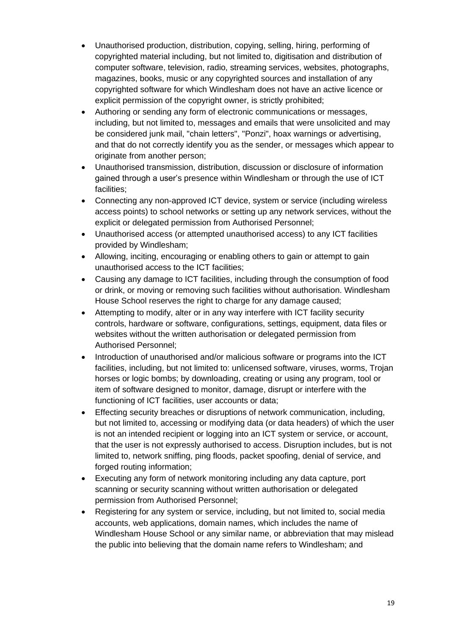- Unauthorised production, distribution, copying, selling, hiring, performing of copyrighted material including, but not limited to, digitisation and distribution of computer software, television, radio, streaming services, websites, photographs, magazines, books, music or any copyrighted sources and installation of any copyrighted software for which Windlesham does not have an active licence or explicit permission of the copyright owner, is strictly prohibited;
- Authoring or sending any form of electronic communications or messages, including, but not limited to, messages and emails that were unsolicited and may be considered junk mail, "chain letters", "Ponzi", hoax warnings or advertising, and that do not correctly identify you as the sender, or messages which appear to originate from another person;
- Unauthorised transmission, distribution, discussion or disclosure of information gained through a user's presence within Windlesham or through the use of ICT facilities;
- Connecting any non-approved ICT device, system or service (including wireless access points) to school networks or setting up any network services, without the explicit or delegated permission from Authorised Personnel;
- Unauthorised access (or attempted unauthorised access) to any ICT facilities provided by Windlesham;
- Allowing, inciting, encouraging or enabling others to gain or attempt to gain unauthorised access to the ICT facilities;
- Causing any damage to ICT facilities, including through the consumption of food or drink, or moving or removing such facilities without authorisation. Windlesham House School reserves the right to charge for any damage caused;
- Attempting to modify, alter or in any way interfere with ICT facility security controls, hardware or software, configurations, settings, equipment, data files or websites without the written authorisation or delegated permission from Authorised Personnel;
- Introduction of unauthorised and/or malicious software or programs into the ICT facilities, including, but not limited to: unlicensed software, viruses, worms, Trojan horses or logic bombs; by downloading, creating or using any program, tool or item of software designed to monitor, damage, disrupt or interfere with the functioning of ICT facilities, user accounts or data;
- Effecting security breaches or disruptions of network communication, including, but not limited to, accessing or modifying data (or data headers) of which the user is not an intended recipient or logging into an ICT system or service, or account, that the user is not expressly authorised to access. Disruption includes, but is not limited to, network sniffing, ping floods, packet spoofing, denial of service, and forged routing information:
- Executing any form of network monitoring including any data capture, port scanning or security scanning without written authorisation or delegated permission from Authorised Personnel;
- Registering for any system or service, including, but not limited to, social media accounts, web applications, domain names, which includes the name of Windlesham House School or any similar name, or abbreviation that may mislead the public into believing that the domain name refers to Windlesham; and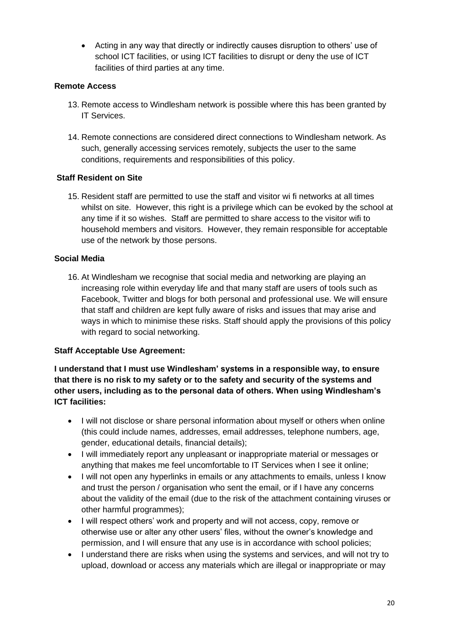• Acting in any way that directly or indirectly causes disruption to others' use of school ICT facilities, or using ICT facilities to disrupt or deny the use of ICT facilities of third parties at any time.

## **Remote Access**

- 13. Remote access to Windlesham network is possible where this has been granted by IT Services.
- 14. Remote connections are considered direct connections to Windlesham network. As such, generally accessing services remotely, subjects the user to the same conditions, requirements and responsibilities of this policy.

## **Staff Resident on Site**

15. Resident staff are permitted to use the staff and visitor wi fi networks at all times whilst on site. However, this right is a privilege which can be evoked by the school at any time if it so wishes. Staff are permitted to share access to the visitor wifi to household members and visitors. However, they remain responsible for acceptable use of the network by those persons.

## **Social Media**

16. At Windlesham we recognise that social media and networking are playing an increasing role within everyday life and that many staff are users of tools such as Facebook, Twitter and blogs for both personal and professional use. We will ensure that staff and children are kept fully aware of risks and issues that may arise and ways in which to minimise these risks. Staff should apply the provisions of this policy with regard to social networking.

## **Staff Acceptable Use Agreement:**

**I understand that I must use Windlesham' systems in a responsible way, to ensure that there is no risk to my safety or to the safety and security of the systems and other users, including as to the personal data of others. When using Windlesham's ICT facilities:** 

- I will not disclose or share personal information about myself or others when online (this could include names, addresses, email addresses, telephone numbers, age, gender, educational details, financial details);
- I will immediately report any unpleasant or inappropriate material or messages or anything that makes me feel uncomfortable to IT Services when I see it online;
- I will not open any hyperlinks in emails or any attachments to emails, unless I know and trust the person / organisation who sent the email, or if I have any concerns about the validity of the email (due to the risk of the attachment containing viruses or other harmful programmes);
- I will respect others' work and property and will not access, copy, remove or otherwise use or alter any other users' files, without the owner's knowledge and permission, and I will ensure that any use is in accordance with school policies;
- I understand there are risks when using the systems and services, and will not try to upload, download or access any materials which are illegal or inappropriate or may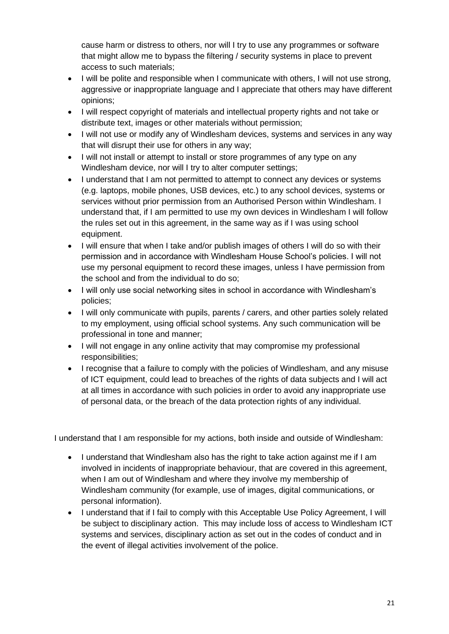cause harm or distress to others, nor will I try to use any programmes or software that might allow me to bypass the filtering / security systems in place to prevent access to such materials;

- I will be polite and responsible when I communicate with others, I will not use strong, aggressive or inappropriate language and I appreciate that others may have different opinions;
- I will respect copyright of materials and intellectual property rights and not take or distribute text, images or other materials without permission;
- I will not use or modify any of Windlesham devices, systems and services in any way that will disrupt their use for others in any way;
- I will not install or attempt to install or store programmes of any type on any Windlesham device, nor will I try to alter computer settings;
- I understand that I am not permitted to attempt to connect any devices or systems (e.g. laptops, mobile phones, USB devices, etc.) to any school devices, systems or services without prior permission from an Authorised Person within Windlesham. I understand that, if I am permitted to use my own devices in Windlesham I will follow the rules set out in this agreement, in the same way as if I was using school equipment.
- I will ensure that when I take and/or publish images of others I will do so with their permission and in accordance with Windlesham House School's policies. I will not use my personal equipment to record these images, unless I have permission from the school and from the individual to do so;
- I will only use social networking sites in school in accordance with Windlesham's policies;
- I will only communicate with pupils, parents / carers, and other parties solely related to my employment, using official school systems. Any such communication will be professional in tone and manner;
- I will not engage in any online activity that may compromise my professional responsibilities;
- I recognise that a failure to comply with the policies of Windlesham, and any misuse of ICT equipment, could lead to breaches of the rights of data subjects and I will act at all times in accordance with such policies in order to avoid any inappropriate use of personal data, or the breach of the data protection rights of any individual.

I understand that I am responsible for my actions, both inside and outside of Windlesham:

- I understand that Windlesham also has the right to take action against me if I am involved in incidents of inappropriate behaviour, that are covered in this agreement, when I am out of Windlesham and where they involve my membership of Windlesham community (for example, use of images, digital communications, or personal information).
- I understand that if I fail to comply with this Acceptable Use Policy Agreement, I will be subject to disciplinary action. This may include loss of access to Windlesham ICT systems and services, disciplinary action as set out in the codes of conduct and in the event of illegal activities involvement of the police.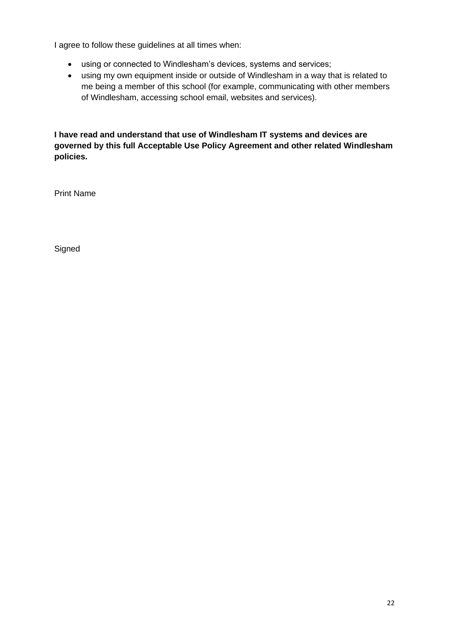I agree to follow these guidelines at all times when:

- using or connected to Windlesham's devices, systems and services;
- using my own equipment inside or outside of Windlesham in a way that is related to me being a member of this school (for example, communicating with other members of Windlesham, accessing school email, websites and services).

**I have read and understand that use of Windlesham IT systems and devices are governed by this full Acceptable Use Policy Agreement and other related Windlesham policies.**

Print Name

**Signed**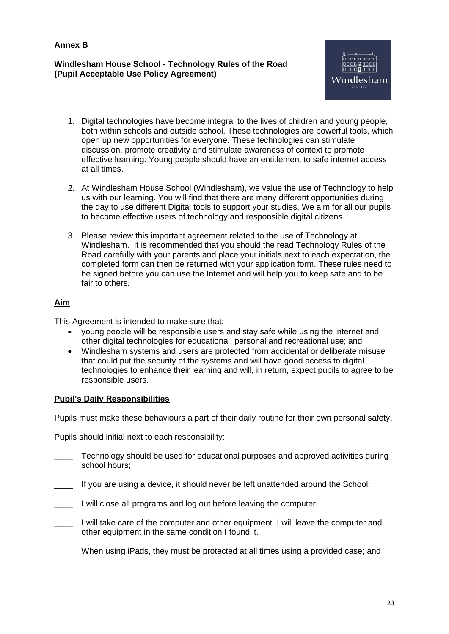**Annex B**

### **Windlesham House School - Technology Rules of the Road (Pupil Acceptable Use Policy Agreement)**



- 1. Digital technologies have become integral to the lives of children and young people, both within schools and outside school. These technologies are powerful tools, which open up new opportunities for everyone. These technologies can stimulate discussion, promote creativity and stimulate awareness of context to promote effective learning. Young people should have an entitlement to safe internet access at all times.
- 2. At Windlesham House School (Windlesham), we value the use of Technology to help us with our learning. You will find that there are many different opportunities during the day to use different Digital tools to support your studies. We aim for all our pupils to become effective users of technology and responsible digital citizens.
- 3. Please review this important agreement related to the use of Technology at Windlesham. It is recommended that you should the read Technology Rules of the Road carefully with your parents and place your initials next to each expectation, the completed form can then be returned with your application form. These rules need to be signed before you can use the Internet and will help you to keep safe and to be fair to others.

## **Aim**

This Agreement is intended to make sure that:

- young people will be responsible users and stay safe while using the internet and other digital technologies for educational, personal and recreational use; and
- Windlesham systems and users are protected from accidental or deliberate misuse that could put the security of the systems and will have good access to digital technologies to enhance their learning and will, in return, expect pupils to agree to be responsible users.

## **Pupil's Daily Responsibilities**

Pupils must make these behaviours a part of their daily routine for their own personal safety.

Pupils should initial next to each responsibility:

- \_\_\_\_ Technology should be used for educational purposes and approved activities during school hours;
- \_\_\_\_ If you are using a device, it should never be left unattended around the School;
- **I** will close all programs and log out before leaving the computer.
- I will take care of the computer and other equipment. I will leave the computer and other equipment in the same condition I found it.
- When using iPads, they must be protected at all times using a provided case; and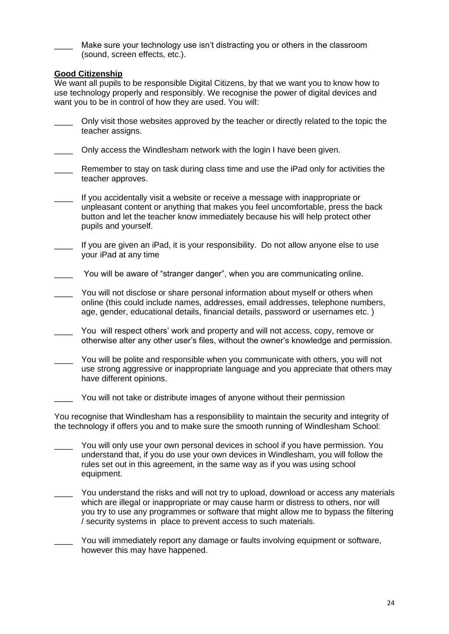Make sure your technology use isn't distracting you or others in the classroom (sound, screen effects, etc.).

### **Good Citizenship**

We want all pupils to be responsible Digital Citizens, by that we want you to know how to use technology properly and responsibly. We recognise the power of digital devices and want you to be in control of how they are used. You will:

- Only visit those websites approved by the teacher or directly related to the topic the teacher assigns.
- Only access the Windlesham network with the login I have been given.
- Remember to stay on task during class time and use the iPad only for activities the teacher approves.
- \_\_\_\_ If you accidentally visit a website or receive a message with inappropriate or unpleasant content or anything that makes you feel uncomfortable, press the back button and let the teacher know immediately because his will help protect other pupils and yourself.
- If you are given an iPad, it is your responsibility. Do not allow anyone else to use your iPad at any time
- You will be aware of "stranger danger", when you are communicating online.
- You will not disclose or share personal information about myself or others when online (this could include names, addresses, email addresses, telephone numbers, age, gender, educational details, financial details, password or usernames etc. )
- You will respect others' work and property and will not access, copy, remove or otherwise alter any other user's files, without the owner's knowledge and permission.
- You will be polite and responsible when you communicate with others, you will not use strong aggressive or inappropriate language and you appreciate that others may have different opinions.
- You will not take or distribute images of anyone without their permission

You recognise that Windlesham has a responsibility to maintain the security and integrity of the technology if offers you and to make sure the smooth running of Windlesham School:

- You will only use your own personal devices in school if you have permission. You understand that, if you do use your own devices in Windlesham, you will follow the rules set out in this agreement, in the same way as if you was using school equipment.
- You understand the risks and will not try to upload, download or access any materials which are illegal or inappropriate or may cause harm or distress to others, nor will you try to use any programmes or software that might allow me to bypass the filtering / security systems in place to prevent access to such materials.
- You will immediately report any damage or faults involving equipment or software, however this may have happened.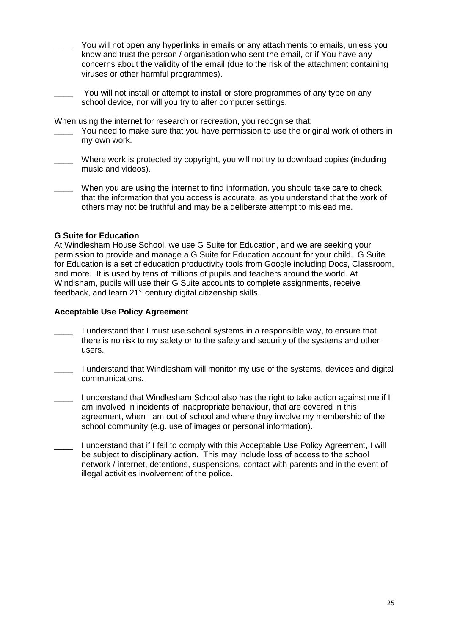- You will not open any hyperlinks in emails or any attachments to emails, unless you know and trust the person / organisation who sent the email, or if You have any concerns about the validity of the email (due to the risk of the attachment containing viruses or other harmful programmes).
- You will not install or attempt to install or store programmes of any type on any school device, nor will you try to alter computer settings.

When using the internet for research or recreation, you recognise that:

- You need to make sure that you have permission to use the original work of others in my own work.
- Where work is protected by copyright, you will not try to download copies (including music and videos).
- When you are using the internet to find information, you should take care to check that the information that you access is accurate, as you understand that the work of others may not be truthful and may be a deliberate attempt to mislead me.

### **G Suite for Education**

At Windlesham House School, we use G Suite for Education, and we are seeking your permission to provide and manage a G Suite for Education account for your child. G Suite for Education is a set of education productivity tools from Google including Docs, Classroom, and more. It is used by tens of millions of pupils and teachers around the world. At Windlsham, pupils will use their G Suite accounts to complete assignments, receive feedback, and learn 21<sup>st</sup> century digital citizenship skills.

#### **Acceptable Use Policy Agreement**

- I understand that I must use school systems in a responsible way, to ensure that there is no risk to my safety or to the safety and security of the systems and other users.
- \_\_\_\_ I understand that Windlesham will monitor my use of the systems, devices and digital communications.
- \_\_\_\_ I understand that Windlesham School also has the right to take action against me if I am involved in incidents of inappropriate behaviour, that are covered in this agreement, when I am out of school and where they involve my membership of the school community (e.g. use of images or personal information).
- \_\_\_\_ I understand that if I fail to comply with this Acceptable Use Policy Agreement, I will be subject to disciplinary action. This may include loss of access to the school network / internet, detentions, suspensions, contact with parents and in the event of illegal activities involvement of the police.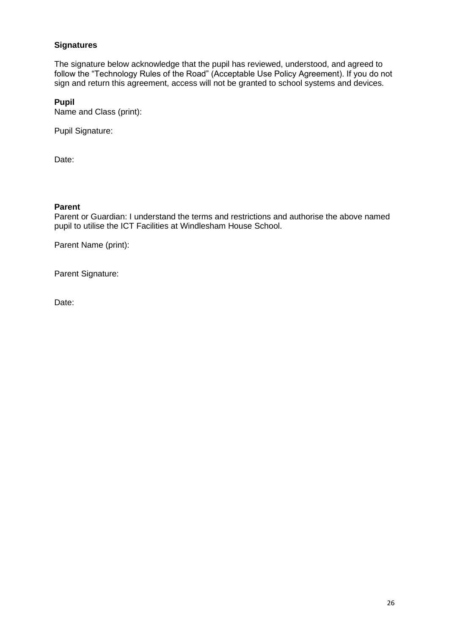### **Signatures**

The signature below acknowledge that the pupil has reviewed, understood, and agreed to follow the "Technology Rules of the Road" (Acceptable Use Policy Agreement). If you do not sign and return this agreement, access will not be granted to school systems and devices.

#### **Pupil**

Name and Class (print):

Pupil Signature:

Date:

#### **Parent**

Parent or Guardian: I understand the terms and restrictions and authorise the above named pupil to utilise the ICT Facilities at Windlesham House School.

Parent Name (print):

Parent Signature:

Date: